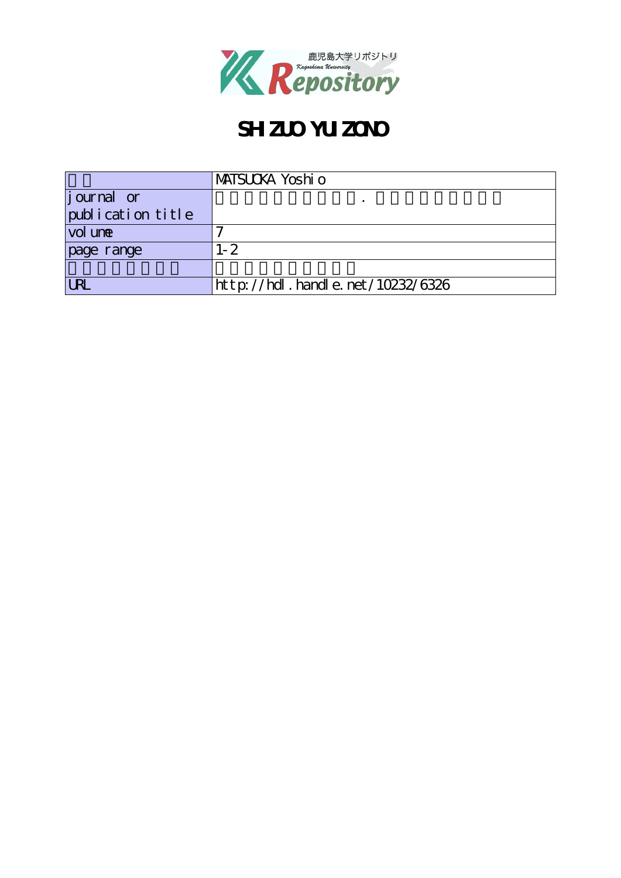

# **SHZUO YUZONO**

|                       | MATSUCKA Yoshi o                 |
|-----------------------|----------------------------------|
| <i>j</i> ournal or    |                                  |
| publication title     |                                  |
| vol une               |                                  |
| page range            | $-2$                             |
|                       |                                  |
| $\overline{\text{R}}$ | http://hdl.handle.net/10232/6326 |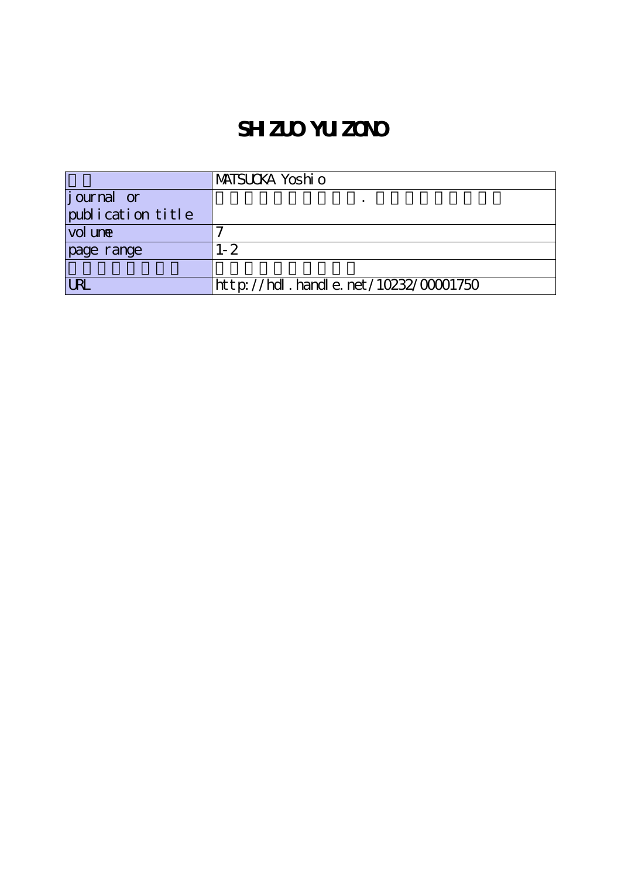## **SHZUO YUIZONO**

|                    | MATSUCKA Yoshi o                     |
|--------------------|--------------------------------------|
| <i>j</i> ournal or |                                      |
| publication title  |                                      |
| vol une            |                                      |
| page range         | l- 2                                 |
|                    |                                      |
|                    | http://hdl.handle.net/10232/00001750 |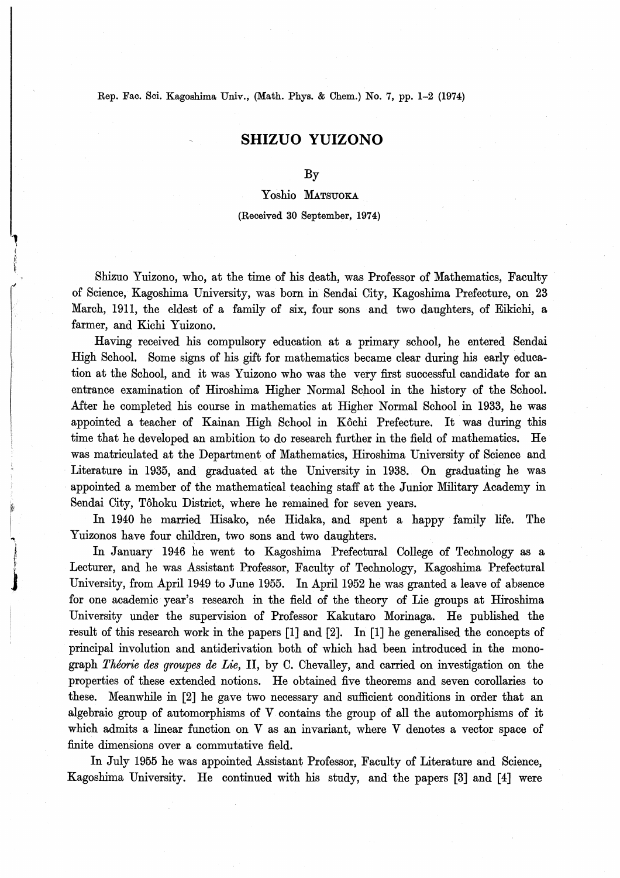Rep. Fac. Sci. Kagoshima Univ., (Math. Phys. & Chem.) No. 7, pp. 1-2 (1974)

tt.- September 2004 - September 2004 - September 2004 - September 2004 - September 2004 - September 2004 - September 2004 - September 2004 - September 2004 - September 2004 - September 2004 - September 2004 - September 200

 $\mathcal{L}^{\text{max}}$  . The individual definition of  $\mathcal{L}^{\text{max}}$ 

## SHIZUO YUIZONO

### By

## Yoshio MATSUOKA

#### (Received 30 September, 1974)

Shizuo Yuizono, who, at the time of his death, was Professor of Mathematics, Faculty of Science, Kagoshima University, was born in Sendai City, Kagoshima Prefecture, on 23 March, 1911, the eldest of a family of six, four sons and two daughters, of Eikichi, a farmer, and Kichi Yuizono.

Having received his compulsory education at a primary school, he entered Sendai High School. Some signs of his gift for mathematics became clear during his early education at the School, and it was Yuizono who was the very first successful candidate for an entrance examination of Hiroshima Higher Normal School in the history of the School. After he completed his course in mathematics at Higher Normal School in 1933, he was appointed a teacher of Kainan High School in Kôchi Prefecture. It was during this time that he developed an ambition to do research further in the field of mathematics. He was matriculated at the Department of Mathematics, Hiroshima University of Science and Literature in 1935, and graduated at the University in 1938. 0n graduating he was appointed a member of the mathematical teaching staff at the Junior Military Academy in Sendai City, Tohoku District, where he remained for seven years.

In 1940 he married Hisako, née Hidaka, and spent a happy family life. The Yuizonos have four children, two sons and two daughters.

In January 1946 he went to Kagoshima Prefectural College of Technology as a Lecturer, and he was Assistant Professor, Faculty of Technology, Kagoshima Prefectural University, from April 1949 to June 1955. In April 1952 he was granted a leave of absence for one academic year's research in the field of the theory of Lie groups at Hiroshima University under the supervision of Professor Kakutaro Morinaga. He published the result of this research work in the papers [1] and [2]. In [1] he generalised the concepts of principal involution and antiderivation both of which had been introduced in the monograph Theorie des groupes de Lie, II, by C. Chevalley, and carried on investigation on the properties of these extended notions. He obtained five theorems and seven corollaries to these. Meanwhile in [2] he gave two necessary and sufficient conditions in order that an algebraic group of automorphisms of V contains the group of all the automorphisms of it which admits a linear function on V as an invariant, where V denotes a vector space of finite dimensions over a commutative field.

In July 1955 he was appointed Assistant Professor, Faculty of Literature and Science, Kagoshima University. He continued with his study, and the papers [3] and [4】 were